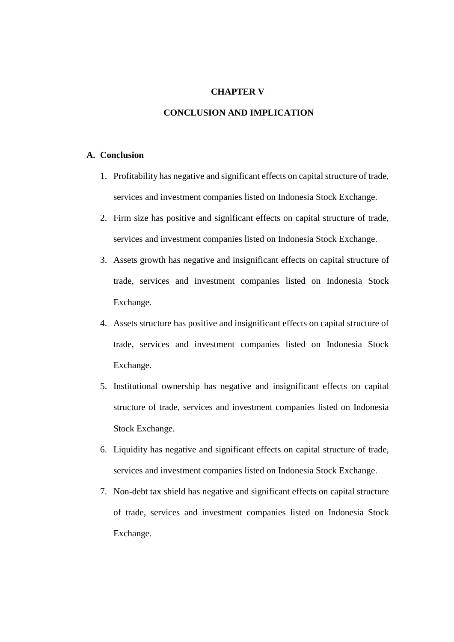## **CHAPTER V**

# **CONCLUSION AND IMPLICATION**

### **A. Conclusion**

- 1. Profitability has negative and significant effects on capital structure of trade, services and investment companies listed on Indonesia Stock Exchange.
- 2. Firm size has positive and significant effects on capital structure of trade, services and investment companies listed on Indonesia Stock Exchange.
- 3. Assets growth has negative and insignificant effects on capital structure of trade, services and investment companies listed on Indonesia Stock Exchange.
- 4. Assets structure has positive and insignificant effects on capital structure of trade, services and investment companies listed on Indonesia Stock Exchange.
- 5. Institutional ownership has negative and insignificant effects on capital structure of trade, services and investment companies listed on Indonesia Stock Exchange.
- 6. Liquidity has negative and significant effects on capital structure of trade, services and investment companies listed on Indonesia Stock Exchange.
- 7. Non-debt tax shield has negative and significant effects on capital structure of trade, services and investment companies listed on Indonesia Stock Exchange.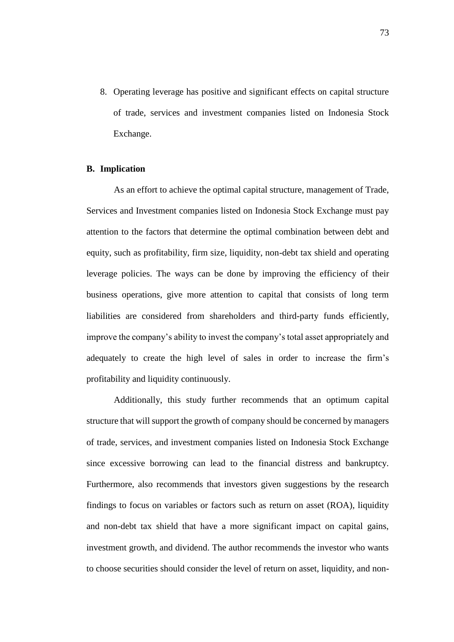8. Operating leverage has positive and significant effects on capital structure of trade, services and investment companies listed on Indonesia Stock Exchange.

#### **B. Implication**

As an effort to achieve the optimal capital structure, management of Trade, Services and Investment companies listed on Indonesia Stock Exchange must pay attention to the factors that determine the optimal combination between debt and equity, such as profitability, firm size, liquidity, non-debt tax shield and operating leverage policies. The ways can be done by improving the efficiency of their business operations, give more attention to capital that consists of long term liabilities are considered from shareholders and third-party funds efficiently, improve the company's ability to invest the company's total asset appropriately and adequately to create the high level of sales in order to increase the firm's profitability and liquidity continuously.

Additionally, this study further recommends that an optimum capital structure that will support the growth of company should be concerned by managers of trade, services, and investment companies listed on Indonesia Stock Exchange since excessive borrowing can lead to the financial distress and bankruptcy. Furthermore, also recommends that investors given suggestions by the research findings to focus on variables or factors such as return on asset (ROA), liquidity and non-debt tax shield that have a more significant impact on capital gains, investment growth, and dividend. The author recommends the investor who wants to choose securities should consider the level of return on asset, liquidity, and non